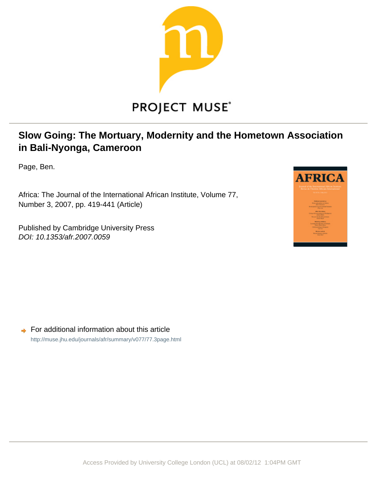

# **PROJECT MUSE®**

# **Slow Going: The Mortuary, Modernity and the Hometown Association in Bali-Nyonga, Cameroon**

Page, Ben.

Africa: The Journal of the International African Institute, Volume 77, Number 3, 2007, pp. 419-441 (Article)

Published by Cambridge University Press DOI: 10.1353/afr.2007.0059



For additional information about this article <http://muse.jhu.edu/journals/afr/summary/v077/77.3page.html>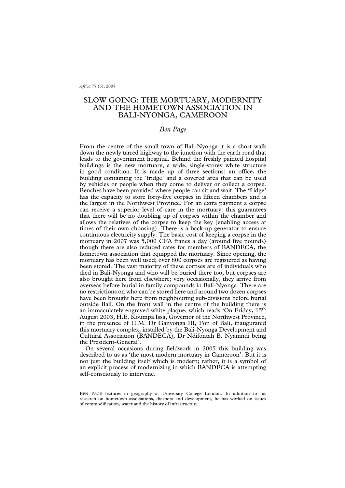*Africa* 77 (3), 2007

# SLOW GOING: THE MORTUARY, MODERNITY AND THE HOMETOWN ASSOCIATION IN BALI-NYONGA, CAMEROON

# *Ben Page*

From the centre of the small town of Bali-Nyonga it is a short walk down the newly tarred highway to the junction with the earth road that leads to the government hospital. Behind the freshly painted hospital buildings is the new mortuary, a wide, single-storey white structure in good condition. It is made up of three sections: an office, the building containing the 'fridge' and a covered area that can be used by vehicles or people when they come to deliver or collect a corpse. Benches have been provided where people can sit and wait. The 'fridge' has the capacity to store forty-five corpses in fifteen chambers and is the largest in the Northwest Province. For an extra payment a corpse can receive a superior level of care in the mortuary: this guarantees that there will be no doubling up of corpses within the chamber and allows the relatives of the corpse to keep the key (enabling access at times of their own choosing). There is a back-up generator to ensure continuous electricity supply. The basic cost of keeping a corpse in the mortuary in 2007 was 5,000 CFA francs a day (around five pounds) though there are also reduced rates for members of BANDECA, the hometown association that equipped the mortuary. Since opening, the mortuary has been well used; over 800 corpses are registered as having been stored. The vast majority of these corpses are of individuals who died in Bali-Nyonga and who will be buried there too, but corpses are also brought here from elsewhere; very occasionally, they arrive from overseas before burial in family compounds in Bali-Nyonga. There are no restrictions on who can be stored here and around two dozen corpses have been brought here from neighbouring sub-divisions before burial outside Bali. On the front wall in the centre of the building there is an immaculately engraved white plaque, which reads 'On Friday, 15<sup>th</sup> August 2003, H.E. Koumpa Issa, Governor of the Northwest Province, in the presence of H.M. Dr Ganyonga III, Fon of Bali, inaugurated this mortuary complex, installed by the Bali-Nyonga Development and Cultural Association (BANDECA), Dr Ndifontah B. Nyamndi being the President-General'.

On several occasions during fieldwork in 2005 this building was described to us as 'the most modern mortuary in Cameroon'. But it is not just the building itself which is modern; rather, it is a symbol of an explicit process of modernizing in which BANDECA is attempting self-consciously to intervene.

BEN PAGE lectures in geography at University College London. In addition to his research on hometown associations, diaspora and development, he has worked on issues of commodification, water and the history of infrastructure.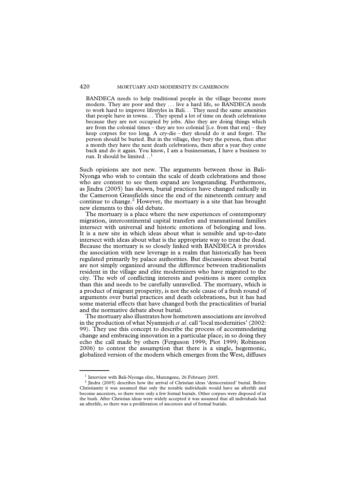BANDECA needs to help traditional people in the village become more modern. They are poor and they *...* live a hard life, so BANDECA needs to work hard to improve lifestyles in Bali*...* They need the same amenities that people have in towns*...* They spend a lot of time on death celebrations because they are not occupied by jobs. Also they are doing things which are from the colonial times – they are too colonial [i.e. from that era] – they keep corpses for too long. A cry-die – they should do it and forget. The person should be buried. But in the village, they bury the person, then after a month they have the next death celebrations, then after a year they come back and do it again. You know, I am a businessman, I have a business to run. It should be limited*...*<sup>1</sup>

Such opinions are not new. The arguments between those in Bali-Nyonga who wish to contain the scale of death celebrations and those who are content to see them expand are longstanding. Furthermore, as Jindra (2005) has shown, burial practices have changed radically in the Cameroon Grassfields since the end of the nineteenth century and continue to change. $<sup>2</sup>$  However, the mortuary is a site that has brought</sup> new elements to this old debate.

The mortuary is a place where the new experiences of contemporary migration, intercontinental capital transfers and transnational families intersect with universal and historic emotions of belonging and loss. It is a new site in which ideas about what is sensible and up-to-date intersect with ideas about what is the appropriate way to treat the dead. Because the mortuary is so closely linked with BANDECA it provides the association with new leverage in a realm that historically has been regulated primarily by palace authorities. But discussions about burial are not simply organized around the difference between traditionalists resident in the village and elite modernizers who have migrated to the city. The web of conflicting interests and positions is more complex than this and needs to be carefully unravelled. The mortuary, which is a product of migrant prosperity, is not the sole cause of a fresh round of arguments over burial practices and death celebrations, but it has had some material effects that have changed both the practicalities of burial and the normative debate about burial.

The mortuary also illustrates how hometown associations are involved in the production of what Nyamnjoh *et al*. call 'local modernities' (2002: 99). They use this concept to describe the process of accommodating change and embracing innovation in a particular place; in so doing they echo the call made by others (Ferguson 1999; Piot 1999; Robinson 2006) to contest the assumption that there is a single, hegemonic, globalized version of the modern which emerges from the West, diffuses

<sup>&</sup>lt;sup>1</sup> Interview with Bali-Nyonga elite, Mutengene, 26 February 2005.

<sup>2</sup> Jindra (2005) describes how the arrival of Christian ideas 'democratized' burial. Before Christianity it was assumed that only the notable individuals would have an afterlife and become ancestors, so there were only a few formal burials. Other corpses were disposed of in the bush. After Christian ideas were widely accepted it was assumed that all individuals had an afterlife, so there was a proliferation of ancestors and of formal burials.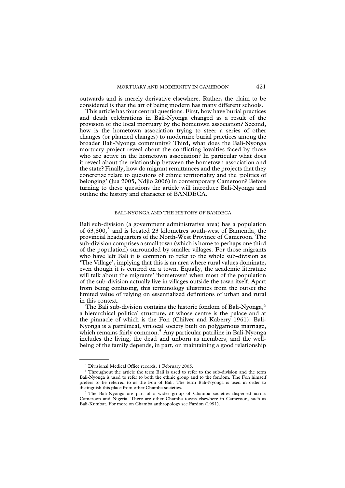outwards and is merely derivative elsewhere. Rather, the claim to be considered is that the art of being modern has many different schools.

This article has four central questions. First, how have burial practices and death celebrations in Bali-Nyonga changed as a result of the provision of the local mortuary by the hometown association? Second, how is the hometown association trying to steer a series of other changes (or planned changes) to modernize burial practices among the broader Bali-Nyonga community? Third, what does the Bali-Nyonga mortuary project reveal about the conflicting loyalties faced by those who are active in the hometown association? In particular what does it reveal about the relationship between the hometown association and the state? Finally, how do migrant remittances and the projects that they concretize relate to questions of ethnic territoriality and the 'politics of belonging' (Jua 2005, Ndjio 2006) in contemporary Cameroon? Before turning to these questions the article will introduce Bali-Nyonga and outline the history and character of BANDECA.

# BALI-NYONGA AND THE HISTORY OF BANDECA

Bali sub-division (a government administrative area) has a population of 63,800,<sup>3</sup> and is located 23 kilometres south-west of Bamenda, the provincial headquarters of the North-West Province of Cameroon. The sub-division comprises a small town (which is home to perhaps one third of the population) surrounded by smaller villages. For those migrants who have left Bali it is common to refer to the whole sub-division as 'The Village', implying that this is an area where rural values dominate, even though it is centred on a town. Equally, the academic literature will talk about the migrants' 'hometown' when most of the population of the sub-division actually live in villages outside the town itself. Apart from being confusing, this terminology illustrates from the outset the limited value of relying on essentialized definitions of urban and rural in this context.

The Bali sub-division contains the historic fondom of Bali-Nyonga, $4$ a hierarchical political structure, at whose centre is the palace and at the pinnacle of which is the Fon (Chilver and Kaberry 1961). Bali-Nyonga is a patrilineal, virilocal society built on polygamous marriage, which remains fairly common.<sup>5</sup> Any particular patriline in Bali-Nyonga includes the living, the dead and unborn as members, and the wellbeing of the family depends, in part, on maintaining a good relationship

<sup>3</sup> Divisional Medical Office records, 1 February 2005.

<sup>4</sup> Throughout the article the term Bali is used to refer to the sub-division and the term Bali-Nyonga is used to refer to both the ethnic group and to the fondom. The Fon himself prefers to be referred to as the Fon of Bali. The term Bali-Nyonga is used in order to distinguish this place from other Chamba societies.

<sup>&</sup>lt;sup>5</sup> The Bali-Nyonga are part of a wider group of Chamba societies dispersed across Cameroon and Nigeria. There are other Chamba towns elsewhere in Cameroon, such as Bali-Kumbat. For more on Chamba anthropology see Fardon (1991).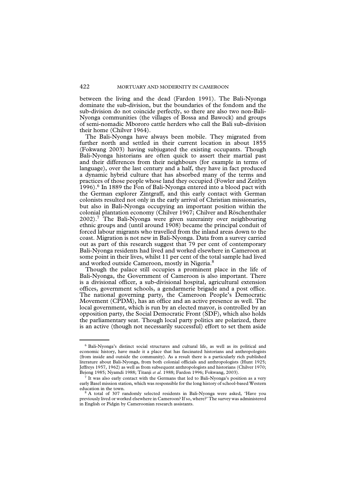between the living and the dead (Fardon 1991). The Bali-Nyonga dominate the sub-division, but the boundaries of the fondom and the sub-division do not coincide perfectly, so there are also two non-Bali-Nyonga communities (the villages of Bossa and Bawock) and groups of semi-nomadic Mbororo cattle herders who call the Bali sub-division their home (Chilver 1964).

The Bali-Nyonga have always been mobile. They migrated from further north and settled in their current location in about 1855 (Fokwang 2003) having subjugated the existing occupants. Though Bali-Nyonga historians are often quick to assert their martial past and their differences from their neighbours (for example in terms of language), over the last century and a half, they have in fact produced a dynamic hybrid culture that has absorbed many of the terms and practices of those people whose land they occupied (Fowler and Zeitlyn 1996).<sup>6</sup> In 1889 the Fon of Bali-Nyonga entered into a blood pact with the German explorer Zintgraff, and this early contact with German colonists resulted not only in the early arrival of Christian missionaries, but also in Bali-Nyonga occupying an important position within the colonial plantation economy (Chilver 1967; Chilver and Röschenthaler  $2002$ ).<sup>7</sup> The Bali-Nyonga were given suzerainty over neighbouring ethnic groups and (until around 1908) became the principal conduit of forced labour migrants who travelled from the inland areas down to the coast. Migration is not new in Bali-Nyonga. Data from a survey carried out as part of this research suggest that 79 per cent of contemporary Bali-Nyonga residents had lived and worked elsewhere in Cameroon at some point in their lives, whilst 11 per cent of the total sample had lived and worked outside Cameroon, mostly in Nigeria.<sup>8</sup>

Though the palace still occupies a prominent place in the life of Bali-Nyonga, the Government of Cameroon is also important. There is a divisional officer, a sub-divisional hospital, agricultural extension offices, government schools, a gendarmerie brigade and a post office. The national governing party, the Cameroon People's Democratic Movement (CPDM), has an office and an active presence as well. The local government, which is run by an elected mayor, is controlled by an opposition party, the Social Democratic Front (SDF), which also holds the parliamentary seat. Though local party politics are polarized, there is an active (though not necessarily successful) effort to set them aside

<sup>6</sup> Bali-Nyonga's distinct social structures and cultural life, as well as its political and economic history, have made it a place that has fascinated historians and anthropologists (from inside and outside the community). As a result there is a particularly rich published literature about Bali-Nyonga, from both colonial officials and anthropologists (Hunt 1925; Jeffreys 1957, 1962) as well as from subsequent anthropologists and historians (Chilver 1970; Bejeng 1985; Nyamdi 1988; Titanji *et al*. 1988; Fardon 1996; Fokwang, 2003).

It was also early contact with the Germans that led to Bali-Nyonga's position as a very early Basel mission station, which was responsible for the long history of school-based Western

 $8$  A total of 307 randomly selected residents in Bali-Nyonga were asked, 'Have you previously lived or worked elsewhere in Cameroon? If so, where?' The survey was administered in English or Pidgin by Cameroonian research assistants.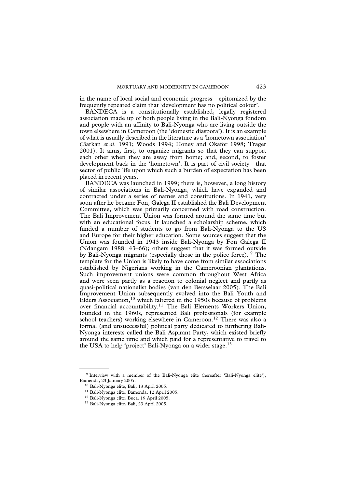in the name of local social and economic progress – epitomized by the frequently repeated claim that 'development has no political colour'.

BANDECA is a constitutionally established, legally registered association made up of both people living in the Bali-Nyonga fondom and people with an affinity to Bali-Nyonga who are living outside the town elsewhere in Cameroon (the 'domestic diaspora'). It is an example of what is usually described in the literature as a 'hometown association' (Barkan *et al*. 1991; Woods 1994; Honey and Okafor 1998; Trager 2001). It aims, first, to organize migrants so that they can support each other when they are away from home; and, second, to foster development back in the 'hometown'. It is part of civil society – that sector of public life upon which such a burden of expectation has been placed in recent years.

BANDECA was launched in 1999; there is, however, a long history of similar associations in Bali-Nyonga, which have expanded and contracted under a series of names and constitutions. In 1941, very soon after he became Fon, Galega II established the Bali Development Committee, which was primarily concerned with road construction. The Bali Improvement Union was formed around the same time but with an educational focus. It launched a scholarship scheme, which funded a number of students to go from Bali-Nyonga to the US and Europe for their higher education. Some sources suggest that the Union was founded in 1943 inside Bali-Nyonga by Fon Galega II (Ndangam 1988: 43–66); others suggest that it was formed outside by Bali-Nyonga migrants (especially those in the police force). <sup>9</sup> The template for the Union is likely to have come from similar associations established by Nigerians working in the Cameroonian plantations. Such improvement unions were common throughout West Africa and were seen partly as a reaction to colonial neglect and partly as quasi-political nationalist bodies (van den Bersselaar 2005). The Bali Improvement Union subsequently evolved into the Bali Youth and Elders Association,<sup>10</sup> which faltered in the 1950s because of problems over financial accountability.11 The Bali Elements Workers Union, founded in the 1960s, represented Bali professionals (for example school teachers) working elsewhere in Cameroon.<sup>12</sup> There was also a formal (and unsuccessful) political party dedicated to furthering Bali-Nyonga interests called the Bali Aspirant Party, which existed briefly around the same time and which paid for a representative to travel to the USA to help 'project' Bali-Nyonga on a wider stage.<sup>13</sup>

<sup>9</sup> Interview with a member of the Bali-Nyonga elite (hereafter 'Bali-Nyonga elite'), Bamenda, 23 January 2005.

<sup>10</sup> Bali-Nyonga elite, Bali, 13 April 2005.

<sup>11</sup> Bali-Nyonga elite, Bamenda, 12 April 2005.

<sup>12</sup> Bali-Nyonga elite, Buea, 19 April 2005.

<sup>13</sup> Bali-Nyonga elite, Bali, 23 April 2005.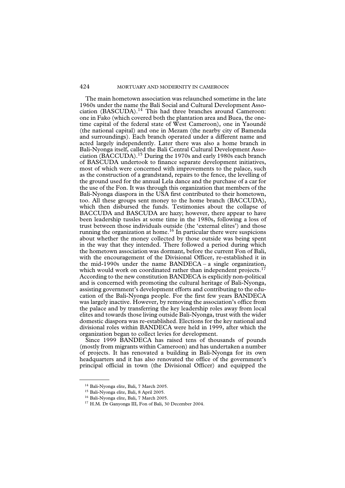The main hometown association was relaunched sometime in the late 1960s under the name the Bali Social and Cultural Development Association  $(BASCUDA)$ .<sup>14</sup> This had three branches around Cameroon: one in Fako (which covered both the plantation area and Buea, the onetime capital of the federal state of West Cameroon), one in Yaoundé (the national capital) and one in Mezam (the nearby city of Bamenda and surroundings). Each branch operated under a different name and acted largely independently. Later there was also a home branch in Bali-Nyonga itself, called the Bali Central Cultural Development Association (BACCUDA).15 During the 1970s and early 1980s each branch of BASCUDA undertook to finance separate development initiatives, most of which were concerned with improvements to the palace, such as the construction of a grandstand, repairs to the fence, the levelling of the ground used for the annual Lela dance and the purchase of a car for the use of the Fon. It was through this organization that members of the Bali-Nyonga diaspora in the USA first contributed to their hometown, too. All these groups sent money to the home branch (BACCUDA), which then disbursed the funds. Testimonies about the collapse of BACCUDA and BASCUDA are hazy; however, there appear to have been leadership tussles at some time in the 1980s, following a loss of trust between those individuals outside (the 'external elites') and those running the organization at home.16 In particular there were suspicions about whether the money collected by those outside was being spent in the way that they intended. There followed a period during which the hometown association was dormant, before the current Fon of Bali, with the encouragement of the Divisional Officer, re-established it in the mid-1990s under the name BANDECA – a single organization, which would work on coordinated rather than independent projects.<sup>17</sup> According to the new constitution BANDECA is explicitly non-political and is concerned with promoting the cultural heritage of Bali-Nyonga, assisting government's development efforts and contributing to the education of the Bali-Nyonga people. For the first few years BANDECA was largely inactive. However, by removing the association's office from the palace and by transferring the key leadership roles away from local elites and towards those living outside Bali-Nyonga, trust with the wider domestic diaspora was re-established. Elections for the key national and divisional roles within BANDECA were held in 1999, after which the organization began to collect levies for development.

Since 1999 BANDECA has raised tens of thousands of pounds (mostly from migrants within Cameroon) and has undertaken a number of projects. It has renovated a building in Bali-Nyonga for its own headquarters and it has also renovated the office of the government's principal official in town (the Divisional Officer) and equipped the

<sup>14</sup> Bali-Nyonga elite, Bali, 7 March 2005.

<sup>15</sup> Bali-Nyonga elite, Bali, 8 April 2005.

<sup>16</sup> Bali-Nyonga elite, Bali, 7 March 2005.

<sup>&</sup>lt;sup>17</sup> H.M. Dr Ganyonga III, Fon of Bali, 30 December 2004.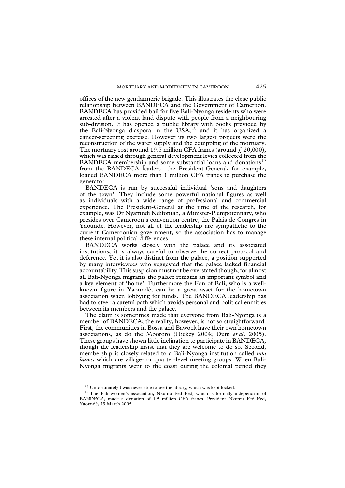offices of the new gendarmerie brigade. This illustrates the close public relationship between BANDECA and the Government of Cameroon. BANDECA has provided bail for five Bali-Nyonga residents who were arrested after a violent land dispute with people from a neighbouring sub-division. It has opened a public library with books provided by the Bali-Nyonga diaspora in the USA,<sup>18</sup> and it has organized a cancer-screening exercise. However its two largest projects were the reconstruction of the water supply and the equipping of the mortuary. The mortuary cost around 19.5 million CFA francs (around  $f(20,000)$ , which was raised through general development levies collected from the BANDECA membership and some substantial loans and donations<sup>19</sup> from the BANDECA leaders – the President-General, for example, loaned BANDECA more than 1 million CFA francs to purchase the generator.

BANDECA is run by successful individual 'sons and daughters of the town'. They include some powerful national figures as well as individuals with a wide range of professional and commercial experience. The President-General at the time of the research, for example, was Dr Nyamndi Ndifontah, a Minister-Plenipotentiary, who presides over Cameroon's convention centre, the Palais de Congrès in Yaounde. However, not all of the leadership are sympathetic to the ´ current Cameroonian government, so the association has to manage these internal political differences.

BANDECA works closely with the palace and its associated institutions; it is always careful to observe the correct protocol and deference. Yet it is also distinct from the palace, a position supported by many interviewees who suggested that the palace lacked financial accountability. This suspicion must not be overstated though; for almost all Bali-Nyonga migrants the palace remains an important symbol and a key element of 'home'. Furthermore the Fon of Bali, who is a wellknown figure in Yaoundé, can be a great asset for the hometown association when lobbying for funds. The BANDECA leadership has had to steer a careful path which avoids personal and political enmities between its members and the palace.

The claim is sometimes made that everyone from Bali-Nyonga is a member of BANDECA; the reality, however, is not so straightforward. First, the communities in Bossa and Bawock have their own hometown associations, as do the Mbororo (Hickey 2004; Duni *et al*. 2005). These groups have shown little inclination to participate in BANDECA, though the leadership insist that they are welcome to do so. Second, membership is closely related to a Bali-Nyonga institution called *nda kums*, which are village- or quarter-level meeting groups. When Bali-Nyonga migrants went to the coast during the colonial period they

<sup>18</sup> Unfortunately I was never able to see the library, which was kept locked.

<sup>&</sup>lt;sup>19</sup> The Bali women's association, Nkumu Fed Fed, which is formally independent of BANDECA, made a donation of 1.5 million CFA francs. President Nkumu Fed Fed, Yaoundé, 19 March 2005.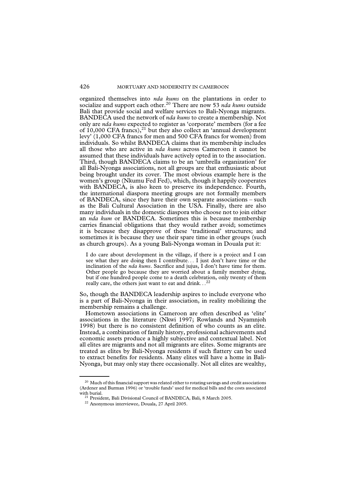organized themselves into *nda kums* on the plantations in order to socialize and support each other.<sup>20</sup> There are now 53 *nda kums* outside Bali that provide social and welfare services to Bali-Nyonga migrants. BANDECA used the network of *nda kums* to create a membership. Not only are *nda kums* expected to register as 'corporate' members (for a fee of  $10,000$  CFA francs),<sup>21</sup> but they also collect an 'annual development levy' (1,000 CFA francs for men and 500 CFA francs for women) from individuals. So whilst BANDECA claims that its membership includes all those who are active in *nda kums* across Cameroon it cannot be assumed that these individuals have actively opted in to the association. Third, though BANDECA claims to be an 'umbrella organization' for all Bali-Nyonga associations, not all groups are that enthusiastic about being brought under its cover. The most obvious example here is the women's group (Nkumu Fed Fed), which, though it happily cooperates with BANDECA, is also keen to preserve its independence. Fourth, the international diaspora meeting groups are not formally members of BANDECA, since they have their own separate associations – such as the Bali Cultural Association in the USA. Finally, there are also many individuals in the domestic diaspora who choose not to join either an *nda kum* or BANDECA. Sometimes this is because membership carries financial obligations that they would rather avoid; sometimes it is because they disapprove of these 'traditional' structures; and sometimes it is because they use their spare time in other groups (such as church groups). As a young Bali-Nyonga woman in Douala put it:

I do care about development in the village, if there is a project and I can see what they are doing then I contribute*...* I just don't have time or the inclination of the *nda kums*. Sacrifice and jujus, I don't have time for them. Other people go because they are worried about a family member dying, but if one hundred people come to a death celebration, only twenty of them really care, the others just want to eat and drink*...*<sup>22</sup>

So, though the BANDECA leadership aspires to include everyone who is a part of Bali-Nyonga in their association, in reality mobilizing the membership remains a challenge.

Hometown associations in Cameroon are often described as 'elite' associations in the literature (Nkwi 1997; Rowlands and Nyamnjoh 1998) but there is no consistent definition of who counts as an elite. Instead, a combination of family history, professional achievements and economic assets produce a highly subjective and contextual label. Not all elites are migrants and not all migrants are elites. Some migrants are treated as elites by Bali-Nyonga residents if such flattery can be used to extract benefits for residents. Many elites will have a home in Bali-Nyonga, but may only stay there occasionally. Not all elites are wealthy,

<sup>&</sup>lt;sup>20</sup> Much of this financial support was related either to rotating savings and credit associations (Ardener and Burman 1996) or 'trouble funds' used for medical bills and the costs associated with burial.<br><sup>21</sup> President, Bali Divisional Council of BANDECA, Bali, 8 March 2005.

<sup>22</sup> Anonymous interviewee, Douala, 27 April 2005.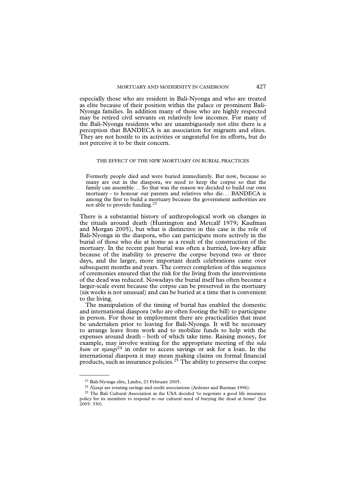especially those who are resident in Bali-Nyonga and who are treated as elite because of their position within the palace or prominent Bali-Nyonga families. In addition many of those who are highly respected may be retired civil servants on relatively low incomes. For many of the Bali-Nyonga residents who are unambiguously not elite there is a perception that BANDECA is an association for migrants and elites. They are not hostile to its activities or ungrateful for its efforts, but do not perceive it to be their concern.

#### THE EFFECT OF THE NEW MORTUARY ON BURIAL PRACTICES

Formerly people died and were buried immediately. But now, because so many are out in the diaspora, we need to keep the corpse so that the family can assemble*...* So that was the reason we decided to build our own mortuary – to honour our parents and relatives who die*...* BANDECA is among the first to build a mortuary because the government authorities are not able to provide funding.<sup>23</sup>

There is a substantial history of anthropological work on changes in the rituals around death (Huntington and Metcalf 1979; Kaufman and Morgan 2005), but what is distinctive in this case is the role of Bali-Nyonga in the diaspora, who can participate more actively in the burial of those who die at home as a result of the construction of the mortuary. In the recent past burial was often a hurried, low-key affair because of the inability to preserve the corpse beyond two or three days, and the larger, more important death celebrations came over subsequent months and years. The correct completion of this sequence of ceremonies ensured that the risk for the living from the interventions of the dead was reduced. Nowadays the burial itself has often become a larger-scale event because the corpse can be preserved in the mortuary (six weeks is not unusual) and can be buried at a time that is convenient to the living.

The manipulation of the timing of burial has enabled the domestic and international diaspora (who are often footing the bill) to participate in person. For those in employment there are practicalities that must be undertaken prior to leaving for Bali-Nyonga. It will be necessary to arrange leave from work and to mobilize funds to help with the expenses around death – both of which take time. Raising money, for example, may involve waiting for the appropriate meeting of the *nda kum* or *njangi*<sup>24</sup> in order to access savings or ask for a loan. In the international diaspora it may mean making claims on formal financial products, such as insurance policies.<sup>25</sup> The ability to preserve the corpse

<sup>23</sup> Bali-Nyonga elite, Limbe, 23 February 2005.

<sup>&</sup>lt;sup>24</sup> *Njangi* are rotating savings and credit associations (Ardener and Burman 1996).

<sup>&</sup>lt;sup>25</sup> The Bali Cultural Association in the USA decided 'to negotiate a good life insurance policy for its members to respond to our cultural need of burying the dead at home' (Jua 2005: 330).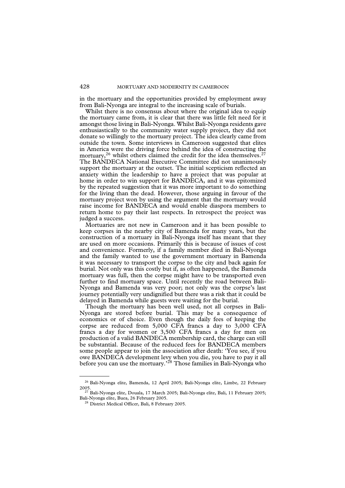in the mortuary and the opportunities provided by employment away from Bali-Nyonga are integral to the increasing scale of burials.

Whilst there is no consensus about where the original idea to equip the mortuary came from, it is clear that there was little felt need for it amongst those living in Bali-Nyonga. Whilst Bali-Nyonga residents gave enthusiastically to the community water supply project, they did not donate so willingly to the mortuary project. The idea clearly came from outside the town. Some interviews in Cameroon suggested that elites in America were the driving force behind the idea of constructing the mortuary, $^{26}$  whilst others claimed the credit for the idea themselves. $^{27}$ The BANDECA National Executive Committee did not unanimously support the mortuary at the outset. The initial scepticism reflected an anxiety within the leadership to have a project that was popular at home in order to win support for BANDECA, and it was epitomized by the repeated suggestion that it was more important to do something for the living than the dead. However, those arguing in favour of the mortuary project won by using the argument that the mortuary would raise income for BANDECA and would enable diaspora members to return home to pay their last respects. In retrospect the project was judged a success.

Mortuaries are not new in Cameroon and it has been possible to keep corpses in the nearby city of Bamenda for many years, but the construction of a mortuary in Bali-Nyonga itself has meant that they are used on more occasions. Primarily this is because of issues of cost and convenience. Formerly, if a family member died in Bali-Nyonga and the family wanted to use the government mortuary in Bamenda it was necessary to transport the corpse to the city and back again for burial. Not only was this costly but if, as often happened, the Bamenda mortuary was full, then the corpse might have to be transported even further to find mortuary space. Until recently the road between Bali-Nyonga and Bamenda was very poor; not only was the corpse's last journey potentially very undignified but there was a risk that it could be delayed in Bamenda while guests were waiting for the burial.

Though the mortuary has been well used, not all corpses in Bali-Nyonga are stored before burial. This may be a consequence of economics or of choice. Even though the daily fees of keeping the corpse are reduced from 5,000 CFA francs a day to 3,000 CFA francs a day for women or 3,500 CFA francs a day for men on production of a valid BANDECA membership card, the charge can still be substantial. Because of the reduced fees for BANDECA members some people appear to join the association after death: 'You see, if you owe BANDECA development levy when you die, you have to pay it all before you can use the mortuary.'<sup>28</sup> Those families in Bali-Nyonga who

 $^{26}$  Bali-Nyonga elite, Bamenda, 12 April 2005; Bali-Nyonga elite, Limbe, 22 February 2005.

 $27$  Bali-Nyonga elite, Douala, 17 March 2005; Bali-Nyonga elite, Bali, 11 February 2005; Bali-Nyonga elite, Buea, 26 February 2005.

<sup>28</sup> District Medical Officer, Bali, 8 February 2005.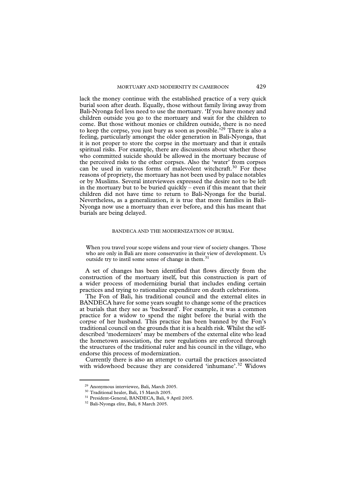lack the money continue with the established practice of a very quick burial soon after death. Equally, those without family living away from Bali-Nyonga feel less need to use the mortuary. 'If you have money and children outside you go to the mortuary and wait for the children to come. But those without monies or children outside, there is no need to keep the corpse, you just bury as soon as possible.<sup>529</sup> There is also a feeling, particularly amongst the older generation in Bali-Nyonga, that it is not proper to store the corpse in the mortuary and that it entails spiritual risks. For example, there are discussions about whether those who committed suicide should be allowed in the mortuary because of the perceived risks to the other corpses. Also the 'water' from corpses can be used in various forms of malevolent witchcraft.<sup>30</sup> For these reasons of propriety, the mortuary has not been used by palace notables or by Muslims. Several interviewees expressed the desire not to be left in the mortuary but to be buried quickly – even if this meant that their children did not have time to return to Bali-Nyonga for the burial. Nevertheless, as a generalization, it is true that more families in Bali-Nyonga now use a mortuary than ever before, and this has meant that burials are being delayed.

#### BANDECA AND THE MODERNIZATION OF BURIAL

When you travel your scope widens and your view of society changes. Those who are only in Bali are more conservative in their view of development. Us outside try to instil some sense of change in them. $31$ 

A set of changes has been identified that flows directly from the construction of the mortuary itself, but this construction is part of a wider process of modernizing burial that includes ending certain practices and trying to rationalize expenditure on death celebrations.

The Fon of Bali, his traditional council and the external elites in BANDECA have for some years sought to change some of the practices at burials that they see as 'backward'. For example, it was a common practice for a widow to spend the night before the burial with the corpse of her husband. This practice has been banned by the Fon's traditional council on the grounds that it is a health risk. Whilst the selfdescribed 'modernizers' may be members of the external elite who lead the hometown association, the new regulations are enforced through the structures of the traditional ruler and his council in the village, who endorse this process of modernization.

Currently there is also an attempt to curtail the practices associated with widowhood because they are considered 'inhumane'.<sup>32</sup> Widows

<sup>29</sup> Anonymous interviewee, Bali, March 2005.

<sup>30</sup> Traditional healer, Bali, 15 March 2005.

<sup>31</sup> President-General, BANDECA, Bali, 9 April 2005.

<sup>32</sup> Bali-Nyonga elite, Bali, 8 March 2005.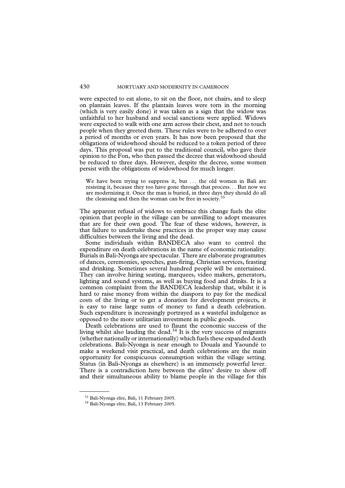were expected to eat alone, to sit on the floor, not chairs, and to sleep on plantain leaves. If the plantain leaves were torn in the morning (which is very easily done) it was taken as a sign that the widow was unfaithful to her husband and social sanctions were applied. Widows were expected to walk with one arm across their chest, and not to touch people when they greeted them. These rules were to be adhered to over a period of months or even years. It has now been proposed that the obligations of widowhood should be reduced to a token period of three days. This proposal was put to the traditional council, who gave their opinion to the Fon, who then passed the decree that widowhood should be reduced to three days. However, despite the decree, some women persist with the obligations of widowhood for much longer.

We have been trying to suppress it, but *...* the old women in Bali are resisting it, because they too have gone through that process*...* But now we are modernizing it. Once the man is buried, in three days they should do all the cleansing and then the woman can be free in society.<sup>33</sup>

The apparent refusal of widows to embrace this change fuels the elite opinion that people in the village can be unwilling to adopt measures that are for their own good. The fear of these widows, however, is that failure to undertake these practices in the proper way may cause difficulties between the living and the dead.

Some individuals within BANDECA also want to control the expenditure on death celebrations in the name of economic rationality. Burials in Bali-Nyonga are spectacular. There are elaborate programmes of dances, ceremonies, speeches, gun-firing, Christian services, feasting and drinking. Sometimes several hundred people will be entertained. They can involve hiring seating, marquees, video makers, generators, lighting and sound systems, as well as buying food and drinks. It is a common complaint from the BANDECA leadership that, whilst it is hard to raise money from within the diaspora to pay for the medical costs of the living or to get a donation for development projects, it is easy to raise large sums of money to fund a death celebration. Such expenditure is increasingly portrayed as a wasteful indulgence as opposed to the more utilitarian investment in public goods.

Death celebrations are used to flaunt the economic success of the living whilst also lauding the dead. $34$  It is the very success of migrants (whether nationally or internationally) which fuels these expanded death celebrations. Bali-Nyonga is near enough to Douala and Yaounde to ´ make a weekend visit practical, and death celebrations are the main opportunity for conspicuous consumption within the village setting. Status (in Bali-Nyonga as elsewhere) is an immensely powerful lever. There is a contradiction here between the elites' desire to show off and their simultaneous ability to blame people in the village for this

<sup>33</sup> Bali-Nyonga elite, Bali, 11 February 2005.

<sup>34</sup> Bali-Nyonga elite, Bali, 13 February 2005.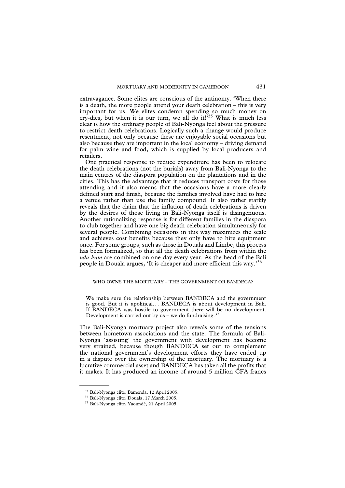extravagance. Some elites are conscious of the antinomy. 'When there is a death, the more people attend your death celebration – this is very important for us. We elites condemn spending so much money on cry-dies, but when it is our turn, we all do it!<sup>535</sup> What is much less clear is how the ordinary people of Bali-Nyonga feel about the pressure to restrict death celebrations. Logically such a change would produce resentment, not only because these are enjoyable social occasions but also because they are important in the local economy – driving demand for palm wine and food, which is supplied by local producers and retailers.

One practical response to reduce expenditure has been to relocate the death celebrations (not the burials) away from Bali-Nyonga to the main centres of the diaspora population on the plantations and in the cities. This has the advantage that it reduces transport costs for those attending and it also means that the occasions have a more clearly defined start and finish, because the families involved have had to hire a venue rather than use the family compound. It also rather starkly reveals that the claim that the inflation of death celebrations is driven by the desires of those living in Bali-Nyonga itself is disingenuous. Another rationalizing response is for different families in the diaspora to club together and have one big death celebration simultaneously for several people. Combining occasions in this way maximizes the scale and achieves cost benefits because they only have to hire equipment once. For some groups, such as those in Douala and Limbe, this process has been formalized, so that all the death celebrations from within the *nda kum* are combined on one day every year. As the head of the Bali people in Douala argues, 'It is cheaper and more efficient this way.'<sup>36</sup>

# WHO OWNS THE MORTUARY – THE GOVERNMENT OR BANDECA?

We make sure the relationship between BANDECA and the government is good. But it is apolitical*...* BANDECA is about development in Bali. If BANDECA was hostile to government there will be no development. Development is carried out by us – we do fundraising.<sup>37</sup>

The Bali-Nyonga mortuary project also reveals some of the tensions between hometown associations and the state. The formula of Bali-Nyonga 'assisting' the government with development has become very strained, because though BANDECA set out to complement the national government's development efforts they have ended up in a dispute over the ownership of the mortuary. The mortuary is a lucrative commercial asset and BANDECA has taken all the profits that it makes. It has produced an income of around 5 million CFA francs

<sup>35</sup> Bali-Nyonga elite, Bamenda, 12 April 2005.

<sup>36</sup> Bali-Nyonga elite, Douala, 17 March 2005.

<sup>&</sup>lt;sup>37</sup> Bali-Nyonga elite, Yaoundé, 21 April 2005.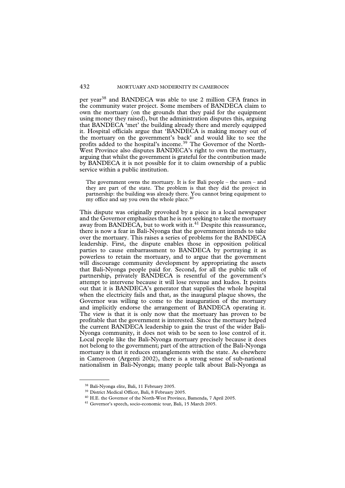per year<sup>38</sup> and BANDECA was able to use 2 million CFA francs in the community water project. Some members of BANDECA claim to own the mortuary (on the grounds that they paid for the equipment using money they raised), but the administration disputes this, arguing that BANDECA 'met' the building already there and merely equipped it. Hospital officials argue that 'BANDECA is making money out of the mortuary on the government's back' and would like to see the profits added to the hospital's income.<sup>39</sup> The Governor of the North-West Province also disputes BANDECA's right to own the mortuary, arguing that whilst the government is grateful for the contribution made by BANDECA it is not possible for it to claim ownership of a public service within a public institution.

The government owns the mortuary. It is for Bali people – the users – and they are part of the state. The problem is that they did the project in partnership: the building was already there. You cannot bring equipment to my office and say you own the whole place.<sup>40</sup>

This dispute was originally provoked by a piece in a local newspaper and the Governor emphasizes that he is not seeking to take the mortuary away from BANDECA, but to work with it. $41$  Despite this reassurance, there is now a fear in Bali-Nyonga that the government intends to take over the mortuary. This raises a series of problems for the BANDECA leadership. First, the dispute enables those in opposition political parties to cause embarrassment to BANDECA by portraying it as powerless to retain the mortuary, and to argue that the government will discourage community development by appropriating the assets that Bali-Nyonga people paid for. Second, for all the public talk of partnership, privately BANDECA is resentful of the government's attempt to intervene because it will lose revenue and kudos. It points out that it is BANDECA's generator that supplies the whole hospital when the electricity fails and that, as the inaugural plaque shows, the Governor was willing to come to the inauguration of the mortuary and implicitly endorse the arrangement of BANDECA operating it. The view is that it is only now that the mortuary has proven to be profitable that the government is interested. Since the mortuary helped the current BANDECA leadership to gain the trust of the wider Bali-Nyonga community, it does not wish to be seen to lose control of it. Local people like the Bali-Nyonga mortuary precisely because it does not belong to the government; part of the attraction of the Bali-Nyonga mortuary is that it reduces entanglements with the state. As elsewhere in Cameroon (Argenti 2002), there is a strong sense of sub-national nationalism in Bali-Nyonga; many people talk about Bali-Nyonga as

<sup>38</sup> Bali-Nyonga elite, Bali, 11 February 2005.

<sup>39</sup> District Medical Officer, Bali, 8 February 2005.

<sup>40</sup> H.E. the Governor of the North-West Province, Bamenda, 7 April 2005.

<sup>41</sup> Governor's speech, socio-economic tour, Bali, 15 March 2005.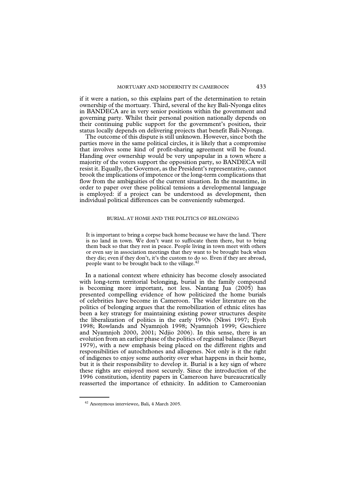if it were a nation, so this explains part of the determination to retain ownership of the mortuary. Third, several of the key Bali-Nyonga elites in BANDECA are in very senior positions within the government and governing party. Whilst their personal position nationally depends on their continuing public support for the government's position, their status locally depends on delivering projects that benefit Bali-Nyonga.

The outcome of this dispute is still unknown. However, since both the parties move in the same political circles, it is likely that a compromise that involves some kind of profit-sharing agreement will be found. Handing over ownership would be very unpopular in a town where a majority of the voters support the opposition party, so BANDECA will resist it. Equally, the Governor, as the President's representative, cannot brook the implications of impotence or the long-term complications that flow from the ambiguities of the current situation. In the meantime, in order to paper over these political tensions a developmental language is employed: if a project can be understood as development, then individual political differences can be conveniently submerged.

#### BURIAL AT HOME AND THE POLITICS OF BELONGING

It is important to bring a corpse back home because we have the land. There is no land in town. We don't want to suffocate them there, but to bring them back so that they rest in peace. People living in town meet with others or even say in association meetings that they want to be brought back when they die; even if they don't, it's the custom to do so. Even if they are abroad, people want to be brought back to the village.42

In a national context where ethnicity has become closely associated with long-term territorial belonging, burial in the family compound is becoming more important, not less. Nantang Jua (2005) has presented compelling evidence of how politicized the home burials of celebrities have become in Cameroon. The wider literature on the politics of belonging argues that the remobilization of ethnic elites has been a key strategy for maintaining existing power structures despite the liberalization of politics in the early 1990s (Nkwi 1997; Eyoh 1998; Rowlands and Nyamnjoh 1998; Nyamnjoh 1999; Geschiere and Nyamnjoh 2000, 2001; Ndjio 2006). In this sense, there is an evolution from an earlier phase of the politics of regional balance (Bayart 1979), with a new emphasis being placed on the different rights and responsibilities of autochthones and allogenes. Not only is it the right of indigenes to enjoy some authority over what happens in their home, but it is their responsibility to develop it. Burial is a key sign of where these rights are enjoyed most securely. Since the introduction of the 1996 constitution, identity papers in Cameroon have bureaucratically reasserted the importance of ethnicity. In addition to Cameroonian

<sup>42</sup> Anonymous interviewee, Bali, 4 March 2005.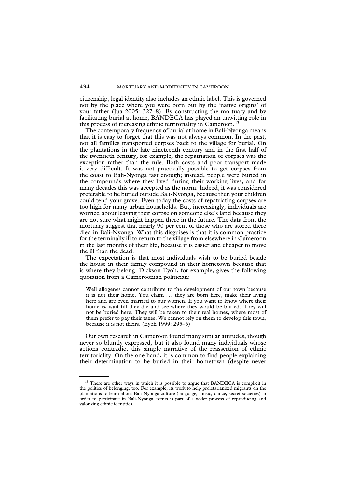citizenship, legal identity also includes an ethnic label. This is governed not by the place where you were born but by the 'native origins' of your father (Jua 2005: 327–8). By constructing the mortuary and by facilitating burial at home, BANDECA has played an unwitting role in this process of increasing ethnic territoriality in Cameroon. $43$ 

The contemporary frequency of burial at home in Bali-Nyonga means that it is easy to forget that this was not always common. In the past, not all families transported corpses back to the village for burial. On the plantations in the late nineteenth century and in the first half of the twentieth century, for example, the repatriation of corpses was the exception rather than the rule. Both costs and poor transport made it very difficult. It was not practically possible to get corpses from the coast to Bali-Nyonga fast enough; instead, people were buried in the compounds where they lived during their working lives, and for many decades this was accepted as the norm. Indeed, it was considered preferable to be buried outside Bali-Nyonga, because then your children could tend your grave. Even today the costs of repatriating corpses are too high for many urban households. But, increasingly, individuals are worried about leaving their corpse on someone else's land because they are not sure what might happen there in the future. The data from the mortuary suggest that nearly 90 per cent of those who are stored there died in Bali-Nyonga. What this disguises is that it is common practice for the terminally ill to return to the village from elsewhere in Cameroon in the last months of their life, because it is easier and cheaper to move the ill than the dead.

The expectation is that most individuals wish to be buried beside the house in their family compound in their hometown because that is where they belong. Dickson Eyoh, for example, gives the following quotation from a Cameroonian politician:

Well allogenes cannot contribute to the development of our town because it is not their home. You claim *...* they are born here, make their living here and are even married to our women. If you want to know where their home is, wait till they die and see where they would be buried. They will not be buried here. They will be taken to their real homes, where most of them prefer to pay their taxes. We cannot rely on them to develop this town, because it is not theirs. (Eyoh 1999: 295–6)

Our own research in Cameroon found many similar attitudes, though never so bluntly expressed, but it also found many individuals whose actions contradict this simple narrative of the reassertion of ethnic territoriality. On the one hand, it is common to find people explaining their determination to be buried in their hometown (despite never

<sup>&</sup>lt;sup>43</sup> There are other ways in which it is possible to argue that BANDECA is complicit in the politics of belonging, too. For example, its work to help proletarianized migrants on the plantations to learn about Bali-Nyonga culture (language, music, dance, secret societies) in order to participate in Bali-Nyonga events is part of a wider process of reproducing and valorizing ethnic identities.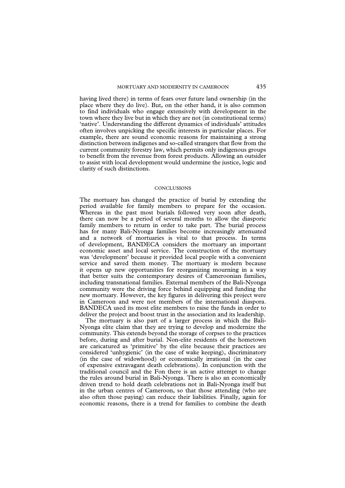having lived there) in terms of fears over future land ownership (in the place where they do live). But, on the other hand, it is also common to find individuals who engage extensively with development in the town where they live but in which they are not (in constitutional terms) 'native'. Understanding the different dynamics of individuals' attitudes often involves unpicking the specific interests in particular places. For example, there are sound economic reasons for maintaining a strong distinction between indigenes and so-called strangers that flow from the current community forestry law, which permits only indigenous groups to benefit from the revenue from forest products. Allowing an outsider to assist with local development would undermine the justice, logic and clarity of such distinctions.

#### **CONCLUSIONS**

The mortuary has changed the practice of burial by extending the period available for family members to prepare for the occasion. Whereas in the past most burials followed very soon after death, there can now be a period of several months to allow the diasporic family members to return in order to take part. The burial process has for many Bali-Nyonga families become increasingly attenuated and a network of mortuaries is vital to that process. In terms of development, BANDECA considers the mortuary an important economic asset and local service. The construction of the mortuary was 'development' because it provided local people with a convenient service and saved them money. The mortuary is modern because it opens up new opportunities for reorganizing mourning in a way that better suits the contemporary desires of Cameroonian families, including transnational families. External members of the Bali-Nyonga community were the driving force behind equipping and funding the new mortuary. However, the key figures in delivering this project were in Cameroon and were not members of the international diaspora. BANDECA used its most elite members to raise the funds in order to deliver the project and boost trust in the association and its leadership.

The mortuary is also part of a larger process in which the Bali-Nyonga elite claim that they are trying to develop and modernize the community. This extends beyond the storage of corpses to the practices before, during and after burial. Non-elite residents of the hometown are caricatured as 'primitive' by the elite because their practices are considered 'unhygienic' (in the case of wake keeping), discriminatory (in the case of widowhood) or economically irrational (in the case of expensive extravagant death celebrations). In conjunction with the traditional council and the Fon there is an active attempt to change the rules around burial in Bali-Nyonga. There is also an economically driven trend to hold death celebrations not in Bali-Nyonga itself but in the urban centres of Cameroon, so that those attending (who are also often those paying) can reduce their liabilities. Finally, again for economic reasons, there is a trend for families to combine the death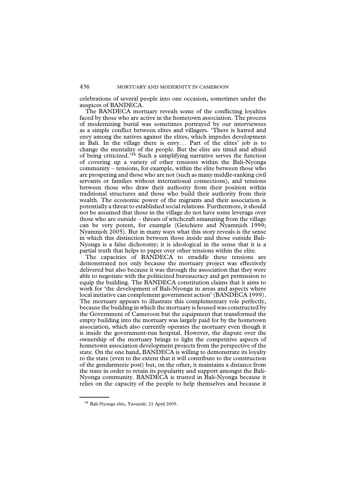celebrations of several people into one occasion, sometimes under the auspices of BANDECA.

The BANDECA mortuary reveals some of the conflicting loyalties faced by those who are active in the hometown association. The process of modernizing burial was sometimes portrayed by our interviewees as a simple conflict between elites and villagers. 'There is hatred and envy among the natives against the elites, which impedes development in Bali. In the village there is envy*...* Part of the elites' job is to change the mentality of the people. But the elite are timid and afraid of being criticized.<sup> $44$ </sup> Such a simplifying narrative serves the function of covering up a variety of other tensions within the Bali-Nyonga community – tensions, for example, within the elite between those who are prospering and those who are not (such as many middle-ranking civil servants or families without international connections), and tensions between those who draw their authority from their position within traditional structures and those who build their authority from their wealth. The economic power of the migrants and their association is potentially a threat to established social relations. Furthermore, it should not be assumed that those in the village do not have some leverage over those who are outside – threats of witchcraft emanating from the village can be very potent, for example (Geschiere and Nyamnjoh 1999; Nyamnjoh 2005). But in many ways what this story reveals is the sense in which this distinction between those inside and those outside Bali-Nyonga is a false dichotomy; it is ideological in the sense that it is a partial truth that helps to paper over other tensions within the elite.

The capacities of BANDECA to straddle these tensions are demonstrated not only because the mortuary project was effectively delivered but also because it was through the association that they were able to negotiate with the politicized bureaucracy and get permission to equip the building. The BANDECA constitution claims that it aims to work for 'the development of Bali-Nyonga in areas and aspects where local initiative can complement government action' (BANDECA 1999). The mortuary appears to illustrate this complementary role perfectly, because the building in which the mortuary is housed was constructed by the Government of Cameroon but the equipment that transformed the empty building into the mortuary was largely paid for by the hometown association, which also currently operates the mortuary even though it is inside the government-run hospital. However, the dispute over the ownership of the mortuary brings to light the competitive aspects of hometown association development projects from the perspective of the state. On the one hand, BANDECA is willing to demonstrate its loyalty to the state (even to the extent that it will contribute to the construction of the gendarmerie post) but, on the other, it maintains a distance from the state in order to retain its popularity and support amongst the Bali-Nyonga community. BANDECA is trusted in Bali-Nyonga because it relies on the capacity of the people to help themselves and because it

<sup>&</sup>lt;sup>44</sup> Bali-Nyonga elite, Yaoundé, 21 April 2005.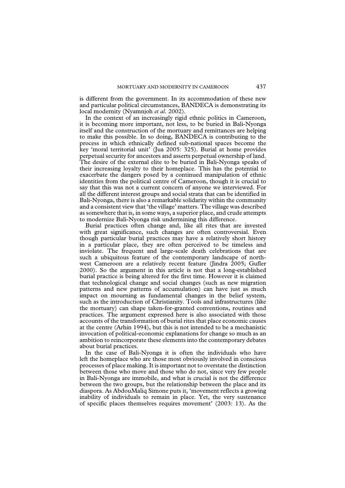is different from the government. In its accommodation of these new and particular political circumstances, BANDECA is demonstrating its local modernity (Nyamnjoh *et al*. 2002).

In the context of an increasingly rigid ethnic politics in Cameroon, it is becoming more important, not less, to be buried in Bali-Nyonga itself and the construction of the mortuary and remittances are helping to make this possible. In so doing, BANDECA is contributing to the process in which ethnically defined sub-national spaces become the key 'moral territorial unit' (Jua 2005: 325). Burial at home provides perpetual security for ancestors and asserts perpetual ownership of land. The desire of the external elite to be buried in Bali-Nyonga speaks of their increasing loyalty to their homeplace. This has the potential to exacerbate the dangers posed by a continued manipulation of ethnic identities from the political centre of Cameroon, though it is crucial to say that this was not a current concern of anyone we interviewed. For all the different interest groups and social strata that can be identified in Bali-Nyonga, there is also a remarkable solidarity within the community and a consistent view that 'the village' matters. The village was described as somewhere that is, in some ways, a superior place, and crude attempts to modernize Bali-Nyonga risk undermining this difference.

Burial practices often change and, like all rites that are invested with great significance, such changes are often controversial. Even though particular burial practices may have a relatively short history in a particular place, they are often perceived to be timeless and inviolate. The frequent and large-scale death celebrations that are such a ubiquitous feature of the contemporary landscape of northwest Cameroon are a relatively recent feature (Jindra 2005; Gufler 2000). So the argument in this article is not that a long-established burial practice is being altered for the first time. However it is claimed that technological change and social changes (such as new migration patterns and new patterns of accumulation) can have just as much impact on mourning as fundamental changes in the belief system, such as the introduction of Christianity. Tools and infrastructures (like the mortuary) can shape taken-for-granted conventions, routines and practices. The argument expressed here is also associated with those accounts of the transformation of burial rites that place economic causes at the centre (Arhin 1994), but this is not intended to be a mechanistic invocation of political-economic explanations for change so much as an ambition to reincorporate these elements into the contemporary debates about burial practices.

In the case of Bali-Nyonga it is often the individuals who have left the homeplace who are those most obviously involved in conscious processes of place making. It is important not to overstate the distinction between those who move and those who do not, since very few people in Bali-Nyonga are immobile, and what is crucial is not the difference between the two groups, but the relationship between the place and its diaspora. As AbdouMaliq Simone puts it, 'movement reflects a growing inability of individuals to remain in place. Yet, the very sustenance of specific places themselves requires movement' (2003: 13). As the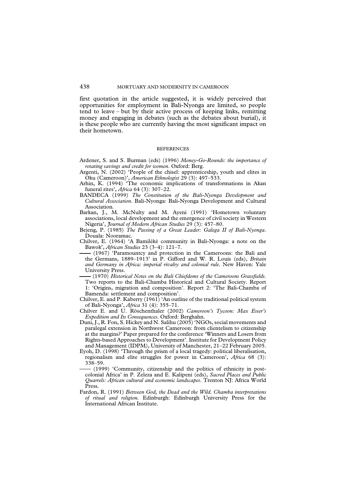first quotation in the article suggested, it is widely perceived that opportunities for employment in Bali-Nyonga are limited, so people tend to leave – but by their active process of keeping links, remitting money and engaging in debates (such as the debates about burial), it is these people who are currently having the most significant impact on their hometown.

#### REFERENCES

- Ardener, S. and S. Burman (eds) (1996) *Money-Go-Rounds: the importance of rotating savings and credit for women*. Oxford: Berg.
- Argenti, N. (2002) 'People of the chisel: apprenticeship, youth and elites in Oku (Cameroon)', *American Ethnologist* 29 (3): 497–533.
- Arhin, K. (1994) 'The economic implications of transformations in Akan funeral rites', *Africa* 64 (3): 307–22.
- BANDECA (1999) *The Constitution of the Bali-Nyonga Development and Cultural Association*. Bali-Nyonga: Bali-Nyonga Development and Cultural Association.
- Barkan, J., M. McNulty and M. Ayeni (1991) 'Hometown voluntary associations, local development and the emergence of civil society in Western Nigeria', *Journal of Modern African Studies* 29 (3): 457–80.
- Bejeng, P. (1985) *The Passing of a Great Leader: Galega II of Bali-Nyonga*. Douala: Nooramac.
- Chilver, E. (1964) 'A Bamiléké community in Bali-Nyonga: a note on the Bawok', *African Studies* 23 (3–4): 121–7.
- (1967) 'Paramountcy and protection in the Cameroons: the Bali and the Germans, 1889–1913' in P. Gifford and W. R. Louis (eds), *Britain and Germany in Africa: imperial rivalry and colonial rule*. New Haven: Yale University Press.
- (1970) *Historical Notes on the Bali Chiefdoms of the Cameroons Grassfields*. Two reports to the Bali-Chamba Historical and Cultural Society. Report 1: 'Origins, migration and composition'. Report 2: 'The Bali-Chamba of Bamenda: settlement and composition'.
- Chilver, E. and P. Kaberry (1961) 'An outline of the traditional political system of Bali-Nyonga', *Africa* 31 (4): 355–71.
- Chilver E. and U. Röschenthaler (2002) Cameroon's Tycoon: Max Esser's *Expedition and Its Consequences*. Oxford: Berghahn.
- Duni, J., R. Fon, S. Hickey and N. Salihu (2005) 'NGOs, social movements and paralegal extension in Northwest Cameroon: from clientelism to citizenship at the margins?' Paper prepared for the conference 'Winners and Losers from Rights-based Approaches to Development'. Institute for Development Policy and Management (IDPM), University of Manchester, 21–22 February 2005.
- Eyoh, D. (1998) 'Through the prism of a local tragedy: political liberalisation, regionalism and elite struggles for power in Cameroon', *Africa* 68 (3): 338–59.
- (1999) 'Community, citizenship and the politics of ethnicity in postcolonial Africa' in P. Zeleza and E. Kalipeni (eds), *Sacred Places and Public Quarrels: African cultural and economic landscapes*. Trenton NJ: Africa World Press.
- Fardon, R. (1991) *Between God, the Dead and the Wild. Chamba interpretations of ritual and religion.* Edinburgh: Edinburgh University Press for the International African Institute.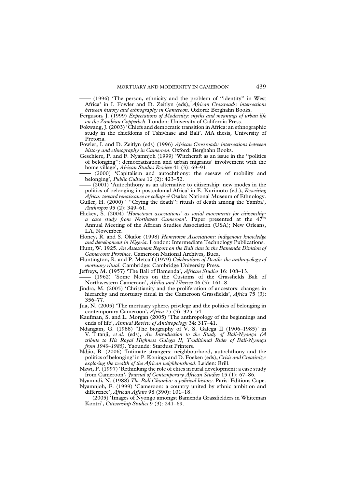(1996) 'The person, ethnicity and the problem of ''identity'' in West Africa' in I. Fowler and D. Zeitlyn (eds), *African Crossroads: intersections between history and ethnography in Cameroon*. Oxford: Berghahn Books.

Ferguson, J. (1999) *Expectations of Modernity: myths and meanings of urban life on the Zambian Copperbelt*. London: University of California Press.

Fokwang, J. (2003) 'Chiefs and democratic transition in Africa: an ethnographic study in the chiefdoms of Tshivhase and Bali'. MA thesis, University of Pretoria.

Fowler, I. and D. Zeitlyn (eds) (1996) *African Crossroads: intersections between history and ethnography in Cameroon*. Oxford: Berghahn Books.

Geschiere, P. and F. Nyamnjoh (1999) 'Witchcraft as an issue in the ''politics of belonging'': democratization and urban migrants' involvement with the home village', *African Studies Review* 41 (3): 69–91.

(2000) 'Capitalism and autochthony: the seesaw of mobility and belonging', *Public Culture* 12 (2): 423–52.

(2001) 'Autochthony as an alternative to citizenship: new modes in the politics of belonging in postcolonial Africa' in E. Kurimoto (ed.), *Rewriting Africa: toward renaissance or collapse?* Osaka: National Museum of Ethnology.

Gufler, H. (2000) ' "Crying the death": rituals of death among the Yamba', *Anthropos* 95 (2): 349–61.

Hickey, S. (2004) '*Hometown associations' as social movements for citizenship: a case study from Northwest Cameroon'*. Paper presented at the 47th Annual Meeting of the African Studies Association (USA); New Orleans, LA, November.

Honey, R. and S. Okafor (1998) *Hometown Associations: indigenous knowledge and development in Nigeria*. London: Intermediate Technology Publications.

Hunt, W. 1925. *An Assessment Report on the Bali clan in the Bamenda Division of Cameroons Province*. Cameroon National Archives, Buea.

Huntington, R. and P. Metcalf (1979) *Celebrations of Death: the anthropology of mortuary ritual*. Cambridge: Cambridge University Press.

Jeffreys, M. (1957) 'The Bali of Bamenda', *African Studies* 16: 108–13.

(1962) 'Some Notes on the Customs of the Grassfields Bali of Northwestern Cameroon', *Afrika und Ubersee* 46 (3): 161–8.

Jindra, M. (2005) 'Christianity and the proliferation of ancestors: changes in hierarchy and mortuary ritual in the Cameroon Grassfields', *Africa* 75 (3): 356–77.

Jua, N. (2005) 'The mortuary sphere, privilege and the politics of belonging in contemporary Cameroon', *Africa* 75 (3): 325–54.

Kaufman, S. and L. Morgan (2005) 'The anthropology of the beginnings and ends of life', *Annual Review of Anthropology* 34: 317–41.

Ndangam, G. (1988) 'The biography of V. S. Galega II (1906–1985)' in V. Titanji, *et al*. (eds), *An Introduction to the Study of Bali-Nyonga (A tribute to His Royal Highness Galega II, Traditional Ruler of Bali-Nyonga from 1940–1985*). Yaoundé: Stardust Printers.

Ndjio, B. (2006) 'Intimate strangers: neighbourhood, autochthony and the politics of belonging' in P. Konings and D. Foeken (eds), *Crisis and Creativity: exploring the wealth of the African neighbourhood*. Leiden: Brill.

Nkwi, P. (1997) 'Rethinking the role of elites in rural development: a case study from Cameroon', *Journal of Contemporary African Studies* 15 (1): 67–86.

Nyamndi, N. (1988) *The Bali Chamba: a political history*. Paris: Editions Cape. Nyamnjoh, F. (1999) 'Cameroon: a country united by ethnic ambition and difference', *African Affairs* 98 (390): 101–18.

(2005) 'Images of Nyongo amongst Bamenda Grassfielders in Whiteman Kontri', *Citizenship Studies* 9 (3): 241–69.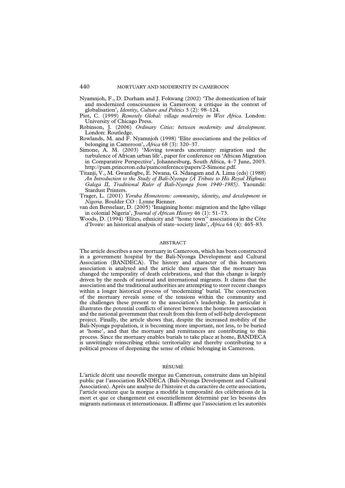- Nyamnjoh, F., D. Durham and J. Fokwang (2002) 'The domestication of hair and modernized consciousness in Cameroon: a critique in the context of globalisation', *Identity, Culture and Politics* 3 (2): 98–124.
- Piot, C. (1999) *Remotely Global: village modernity in West Africa*. London: University of Chicago Press.
- Robinson, J. (2006) *Ordinary Cities: between modernity and development*. London: Routledge.
- Rowlands, M. and F. Nyamnjoh (1998) 'Elite associations and the politics of belonging in Cameroon', *Africa* 68 (3): 320–37.
- Simone, A. M. (2003) 'Moving towards uncertainty: migration and the turbulence of African urban life', paper for conference on 'African Migration in Comparative Perspective', Johannesburg, South Africa, 4–7 June, 2003. http://pum.princeton.edu/pumconference/papers/2-Simone.pdf.
- Titanji, V., M. Gwanfogbe, E. Nwana, G. Ndangam and A. Lima (eds) (1988) *An Introduction to the Study of Bali-Nyonga (A Tribute to His Royal Highness Galega II, Traditional Ruler of Bali-Nyonga from 1940–1985)*. Yaounde:´ Stardust Printers.
- Trager, L. (2001) *Yoruba Hometowns: community, identity, and development in Nigeria*. Boulder CO : Lynne Rienner.
- van den Bersselaar, D. (2005) 'Imagining home: migration and the Igbo village in colonial Nigeria', *Journal of African History* 46 (1): 51–73.
- Woods, D. (1994) 'Elites, ethnicity and "home town" associations in the Côte d'Ivoire: an historical analysis of state–society links', *Africa* 64 (4): 465–83.

### ABSTRACT

The article describes a new mortuary in Cameroon, which has been constructed in a government hospital by the Bali-Nyonga Development and Cultural Association (BANDECA). The history and character of this hometown association is analysed and the article then argues that the mortuary has changed the temporality of death celebrations, and that this change is largely driven by the needs of national and international migrants. It claims that the association and the traditional authorities are attempting to steer recent changes within a longer historical process of 'modernizing' burial. The construction of the mortuary reveals some of the tensions within the community and the challenges these present to the association's leadership. In particular it illustrates the potential conflicts of interest between the hometown association and the national government that result from this form of self-help development project. Finally, the article shows that, despite the increased mobility of the Bali-Nyonga population, it is becoming more important, not less, to be buried at 'home', and that the mortuary and remittances are contributing to this process. Since the mortuary enables burials to take place at home, BANDECA is unwittingly reinscribing ethnic territoriality and thereby contributing to a political process of deepening the sense of ethnic belonging in Cameroon.

# **RÉSUMÉ**

L'article décrit une nouvelle morgue au Cameroun, construite dans un hôpital public par l'association BANDECA (Bali-Nyonga Development and Cultural Association). Après une analyse de l'histoire et du caractère de cette association, l'article soutient que la morgue a modifié la temporalité des célébrations de la mort et que ce changement est essentiellement déterminé par les besoins des migrants nationaux et internationaux. Il affirme que l'association et les autorités